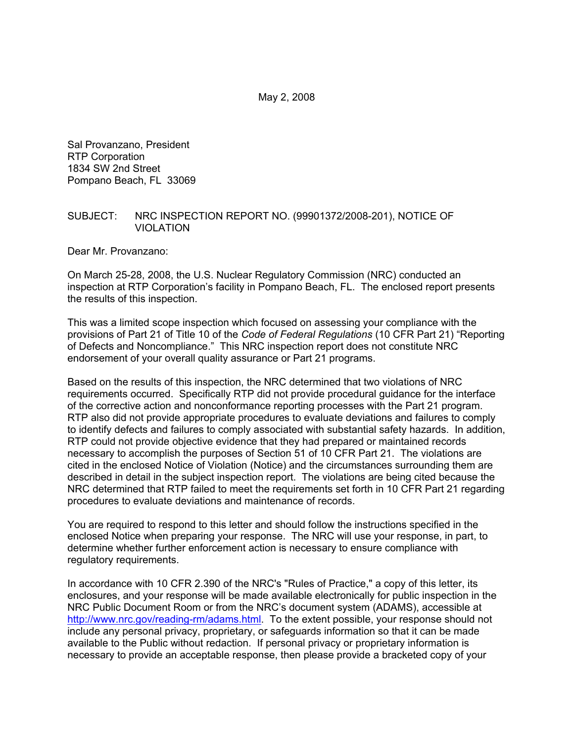May 2, 2008

Sal Provanzano, President RTP Corporation 1834 SW 2nd Street Pompano Beach, FL 33069

#### SUBJECT: NRC INSPECTION REPORT NO. (99901372/2008-201), NOTICE OF VIOLATION

Dear Mr. Provanzano:

On March 25-28, 2008, the U.S. Nuclear Regulatory Commission (NRC) conducted an inspection at RTP Corporation's facility in Pompano Beach, FL. The enclosed report presents the results of this inspection.

This was a limited scope inspection which focused on assessing your compliance with the provisions of Part 21 of Title 10 of the *Code of Federal Regulations* (10 CFR Part 21) "Reporting of Defects and Noncompliance." This NRC inspection report does not constitute NRC endorsement of your overall quality assurance or Part 21 programs.

Based on the results of this inspection, the NRC determined that two violations of NRC requirements occurred. Specifically RTP did not provide procedural guidance for the interface of the corrective action and nonconformance reporting processes with the Part 21 program. RTP also did not provide appropriate procedures to evaluate deviations and failures to comply to identify defects and failures to comply associated with substantial safety hazards. In addition, RTP could not provide objective evidence that they had prepared or maintained records necessary to accomplish the purposes of Section 51 of 10 CFR Part 21. The violations are cited in the enclosed Notice of Violation (Notice) and the circumstances surrounding them are described in detail in the subject inspection report. The violations are being cited because the NRC determined that RTP failed to meet the requirements set forth in 10 CFR Part 21 regarding procedures to evaluate deviations and maintenance of records.

You are required to respond to this letter and should follow the instructions specified in the enclosed Notice when preparing your response. The NRC will use your response, in part, to determine whether further enforcement action is necessary to ensure compliance with regulatory requirements.

In accordance with 10 CFR 2.390 of the NRC's "Rules of Practice," a copy of this letter, its enclosures, and your response will be made available electronically for public inspection in the NRC Public Document Room or from the NRC's document system (ADAMS), accessible at http://www.nrc.gov/reading-rm/adams.html. To the extent possible, your response should not include any personal privacy, proprietary, or safeguards information so that it can be made available to the Public without redaction. If personal privacy or proprietary information is necessary to provide an acceptable response, then please provide a bracketed copy of your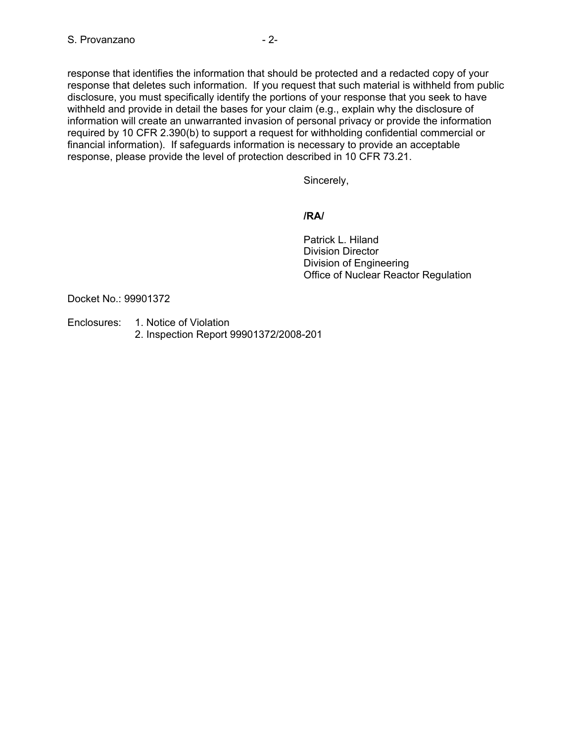response that identifies the information that should be protected and a redacted copy of your response that deletes such information. If you request that such material is withheld from public disclosure, you must specifically identify the portions of your response that you seek to have withheld and provide in detail the bases for your claim (e.g., explain why the disclosure of information will create an unwarranted invasion of personal privacy or provide the information required by 10 CFR 2.390(b) to support a request for withholding confidential commercial or financial information). If safeguards information is necessary to provide an acceptable response, please provide the level of protection described in 10 CFR 73.21.

Sincerely,

### **/RA/**

 Patrick L. Hiland Division Director Division of Engineering Office of Nuclear Reactor Regulation

Docket No.: 99901372

Enclosures: 1. Notice of Violation 2. Inspection Report 99901372/2008-201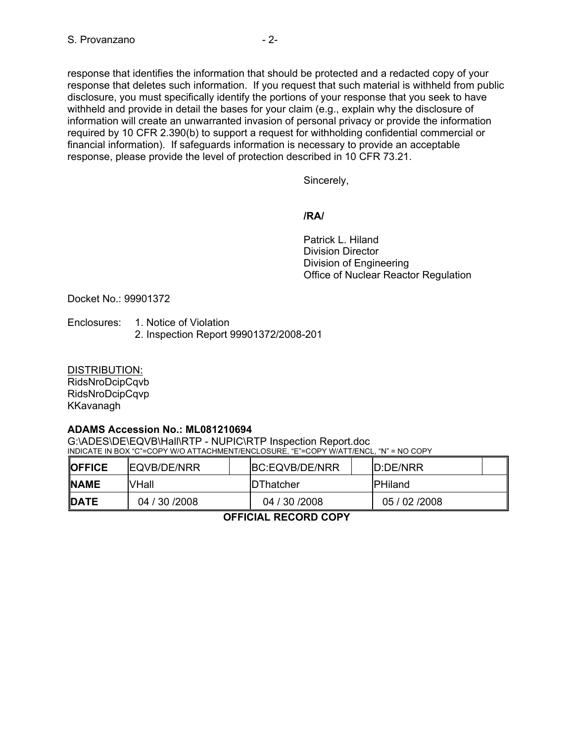response that identifies the information that should be protected and a redacted copy of your response that deletes such information. If you request that such material is withheld from public disclosure, you must specifically identify the portions of your response that you seek to have withheld and provide in detail the bases for your claim (e.g., explain why the disclosure of information will create an unwarranted invasion of personal privacy or provide the information required by 10 CFR 2.390(b) to support a request for withholding confidential commercial or financial information). If safeguards information is necessary to provide an acceptable response, please provide the level of protection described in 10 CFR 73.21.

Sincerely,

### **/RA/**

 Patrick L. Hiland Division Director Division of Engineering Office of Nuclear Reactor Regulation

Docket No.: 99901372

Enclosures: 1. Notice of Violation 2. Inspection Report 99901372/2008-201

DISTRIBUTION: RidsNroDcipCqvb RidsNroDcipCqvp KKavanagh

## **ADAMS Accession No.: ML081210694**

G:\ADES\DE\EQVB\Hall\RTP - NUPIC\RTP Inspection Report.doc INDICATE IN BOX "C"=COPY W/O ATTACHMENT/ENCLOSURE, "E"=COPY W/ATT/ENCL, "N" = NO COPY

| <b>IOFFICE</b> | <b>IEQVB/DE/NRR</b> |  | BC:EQVB/DE/NRR    |  | ID:DE/NRR       |  |
|----------------|---------------------|--|-------------------|--|-----------------|--|
| <b>INAME</b>   | VHall               |  | <b>IDThatcher</b> |  | <b>IPHiland</b> |  |
| <b>DATE</b>    | 04 / 30 / 2008      |  | 04 / 30 / 2008    |  | 05 / 02 / 2008  |  |

**OFFICIAL RECORD COPY**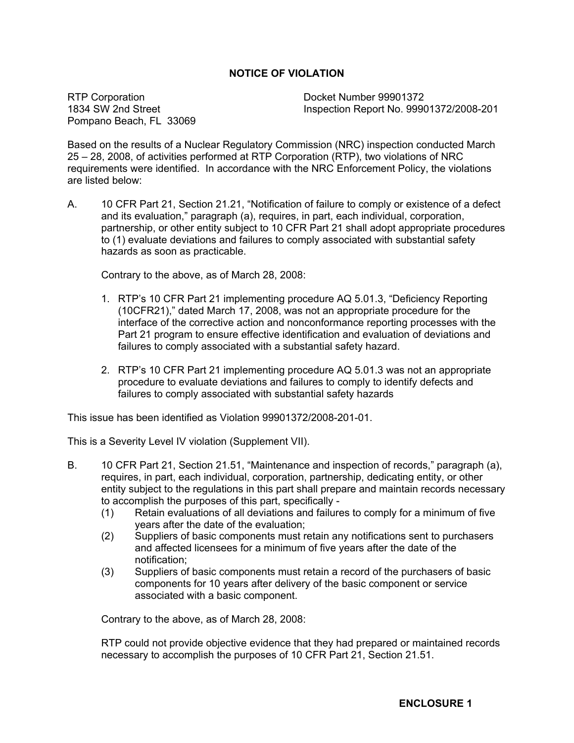## **NOTICE OF VIOLATION**

RTP Corporation 1834 SW 2nd Street Pompano Beach, FL 33069 Docket Number 99901372 Inspection Report No. 99901372/2008-201

Based on the results of a Nuclear Regulatory Commission (NRC) inspection conducted March 25 – 28, 2008, of activities performed at RTP Corporation (RTP), two violations of NRC requirements were identified. In accordance with the NRC Enforcement Policy, the violations are listed below:

A. 10 CFR Part 21, Section 21.21, "Notification of failure to comply or existence of a defect and its evaluation," paragraph (a), requires, in part, each individual, corporation, partnership, or other entity subject to 10 CFR Part 21 shall adopt appropriate procedures to (1) evaluate deviations and failures to comply associated with substantial safety hazards as soon as practicable.

Contrary to the above, as of March 28, 2008:

- 1. RTP's 10 CFR Part 21 implementing procedure AQ 5.01.3, "Deficiency Reporting (10CFR21)," dated March 17, 2008, was not an appropriate procedure for the interface of the corrective action and nonconformance reporting processes with the Part 21 program to ensure effective identification and evaluation of deviations and failures to comply associated with a substantial safety hazard.
- 2. RTP's 10 CFR Part 21 implementing procedure AQ 5.01.3 was not an appropriate procedure to evaluate deviations and failures to comply to identify defects and failures to comply associated with substantial safety hazards

This issue has been identified as Violation 99901372/2008-201-01.

This is a Severity Level IV violation (Supplement VII).

- B. 10 CFR Part 21, Section 21.51, "Maintenance and inspection of records," paragraph (a), requires, in part, each individual, corporation, partnership, dedicating entity, or other entity subject to the regulations in this part shall prepare and maintain records necessary to accomplish the purposes of this part, specifically -
	- (1) Retain evaluations of all deviations and failures to comply for a minimum of five years after the date of the evaluation;
	- (2) Suppliers of basic components must retain any notifications sent to purchasers and affected licensees for a minimum of five years after the date of the notification;
	- (3) Suppliers of basic components must retain a record of the purchasers of basic components for 10 years after delivery of the basic component or service associated with a basic component.

Contrary to the above, as of March 28, 2008:

RTP could not provide objective evidence that they had prepared or maintained records necessary to accomplish the purposes of 10 CFR Part 21, Section 21.51.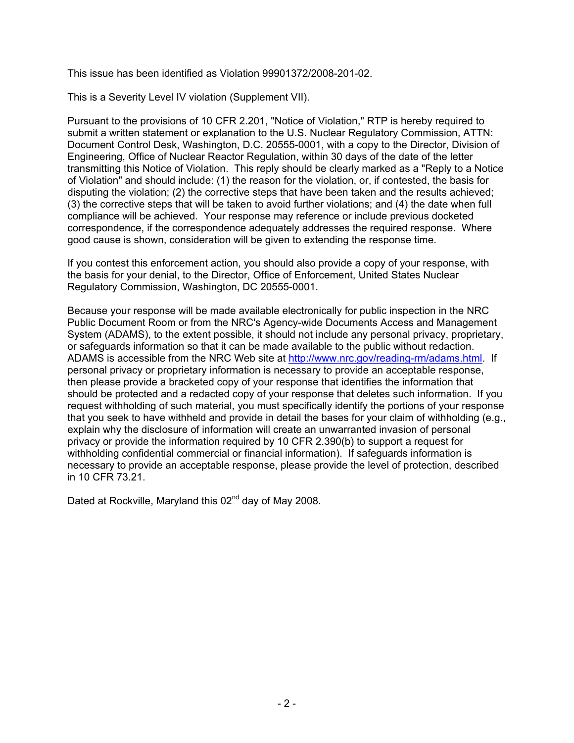This issue has been identified as Violation 99901372/2008-201-02.

This is a Severity Level IV violation (Supplement VII).

Pursuant to the provisions of 10 CFR 2.201, "Notice of Violation," RTP is hereby required to submit a written statement or explanation to the U.S. Nuclear Regulatory Commission, ATTN: Document Control Desk, Washington, D.C. 20555-0001, with a copy to the Director, Division of Engineering, Office of Nuclear Reactor Regulation, within 30 days of the date of the letter transmitting this Notice of Violation. This reply should be clearly marked as a "Reply to a Notice of Violation" and should include: (1) the reason for the violation, or, if contested, the basis for disputing the violation; (2) the corrective steps that have been taken and the results achieved; (3) the corrective steps that will be taken to avoid further violations; and (4) the date when full compliance will be achieved. Your response may reference or include previous docketed correspondence, if the correspondence adequately addresses the required response. Where good cause is shown, consideration will be given to extending the response time.

If you contest this enforcement action, you should also provide a copy of your response, with the basis for your denial, to the Director, Office of Enforcement, United States Nuclear Regulatory Commission, Washington, DC 20555-0001.

Because your response will be made available electronically for public inspection in the NRC Public Document Room or from the NRC's Agency-wide Documents Access and Management System (ADAMS), to the extent possible, it should not include any personal privacy, proprietary, or safeguards information so that it can be made available to the public without redaction. ADAMS is accessible from the NRC Web site at http://www.nrc.gov/reading-rm/adams.html. If personal privacy or proprietary information is necessary to provide an acceptable response, then please provide a bracketed copy of your response that identifies the information that should be protected and a redacted copy of your response that deletes such information. If you request withholding of such material, you must specifically identify the portions of your response that you seek to have withheld and provide in detail the bases for your claim of withholding (e.g., explain why the disclosure of information will create an unwarranted invasion of personal privacy or provide the information required by 10 CFR 2.390(b) to support a request for withholding confidential commercial or financial information). If safeguards information is necessary to provide an acceptable response, please provide the level of protection, described in 10 CFR 73.21.

Dated at Rockville, Maryland this 02<sup>nd</sup> day of May 2008.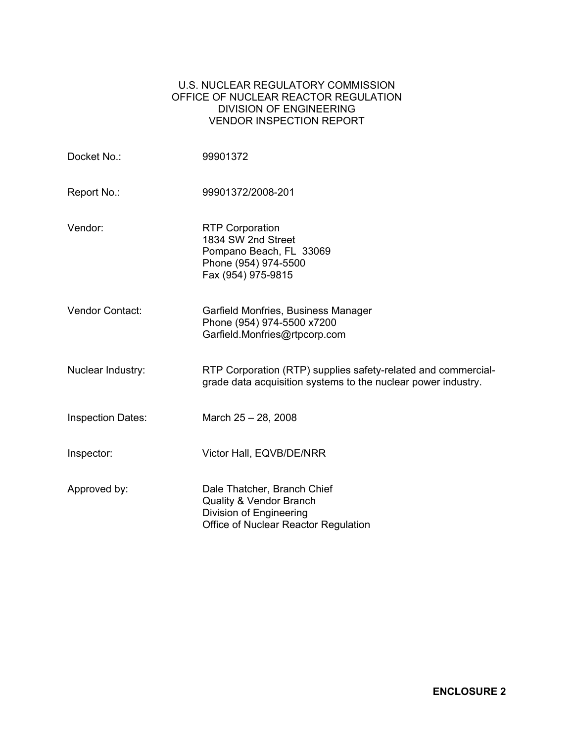### U.S. NUCLEAR REGULATORY COMMISSION OFFICE OF NUCLEAR REACTOR REGULATION DIVISION OF ENGINEERING VENDOR INSPECTION REPORT

| Docket No.:              | 99901372                                                                                                                             |
|--------------------------|--------------------------------------------------------------------------------------------------------------------------------------|
| Report No.:              | 99901372/2008-201                                                                                                                    |
| Vendor:                  | <b>RTP Corporation</b><br>1834 SW 2nd Street<br>Pompano Beach, FL 33069<br>Phone (954) 974-5500<br>Fax (954) 975-9815                |
| <b>Vendor Contact:</b>   | Garfield Monfries, Business Manager<br>Phone (954) 974-5500 x7200<br>Garfield.Monfries@rtpcorp.com                                   |
| Nuclear Industry:        | RTP Corporation (RTP) supplies safety-related and commercial-<br>grade data acquisition systems to the nuclear power industry.       |
| <b>Inspection Dates:</b> | March 25 - 28, 2008                                                                                                                  |
| Inspector:               | Victor Hall, EQVB/DE/NRR                                                                                                             |
| Approved by:             | Dale Thatcher, Branch Chief<br><b>Quality &amp; Vendor Branch</b><br>Division of Engineering<br>Office of Nuclear Reactor Regulation |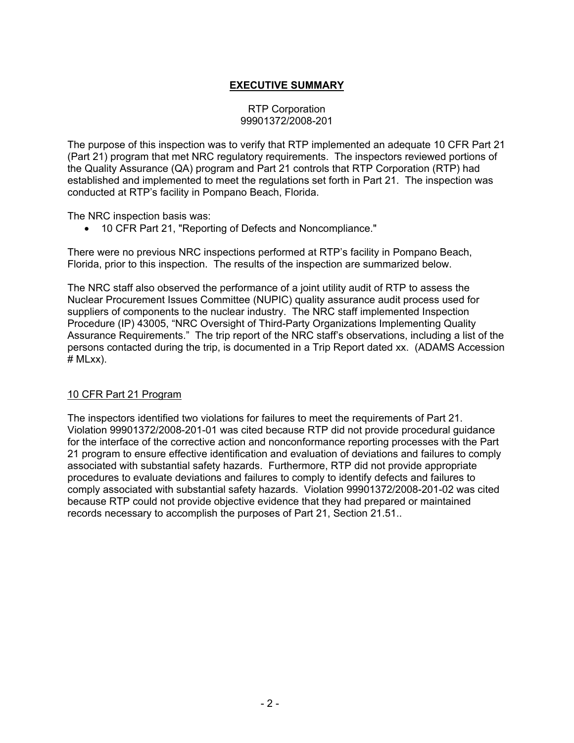# **EXECUTIVE SUMMARY**

#### RTP Corporation 99901372/2008-201

The purpose of this inspection was to verify that RTP implemented an adequate 10 CFR Part 21 (Part 21) program that met NRC regulatory requirements. The inspectors reviewed portions of the Quality Assurance (QA) program and Part 21 controls that RTP Corporation (RTP) had established and implemented to meet the regulations set forth in Part 21. The inspection was conducted at RTP's facility in Pompano Beach, Florida.

The NRC inspection basis was:

• 10 CFR Part 21, "Reporting of Defects and Noncompliance."

There were no previous NRC inspections performed at RTP's facility in Pompano Beach, Florida, prior to this inspection. The results of the inspection are summarized below.

The NRC staff also observed the performance of a joint utility audit of RTP to assess the Nuclear Procurement Issues Committee (NUPIC) quality assurance audit process used for suppliers of components to the nuclear industry. The NRC staff implemented Inspection Procedure (IP) 43005, "NRC Oversight of Third-Party Organizations Implementing Quality Assurance Requirements." The trip report of the NRC staff's observations, including a list of the persons contacted during the trip, is documented in a Trip Report dated xx. (ADAMS Accession  $#$  MLxx $).$ 

## 10 CFR Part 21 Program

The inspectors identified two violations for failures to meet the requirements of Part 21. Violation 99901372/2008-201-01 was cited because RTP did not provide procedural guidance for the interface of the corrective action and nonconformance reporting processes with the Part 21 program to ensure effective identification and evaluation of deviations and failures to comply associated with substantial safety hazards. Furthermore, RTP did not provide appropriate procedures to evaluate deviations and failures to comply to identify defects and failures to comply associated with substantial safety hazards. Violation 99901372/2008-201-02 was cited because RTP could not provide objective evidence that they had prepared or maintained records necessary to accomplish the purposes of Part 21, Section 21.51..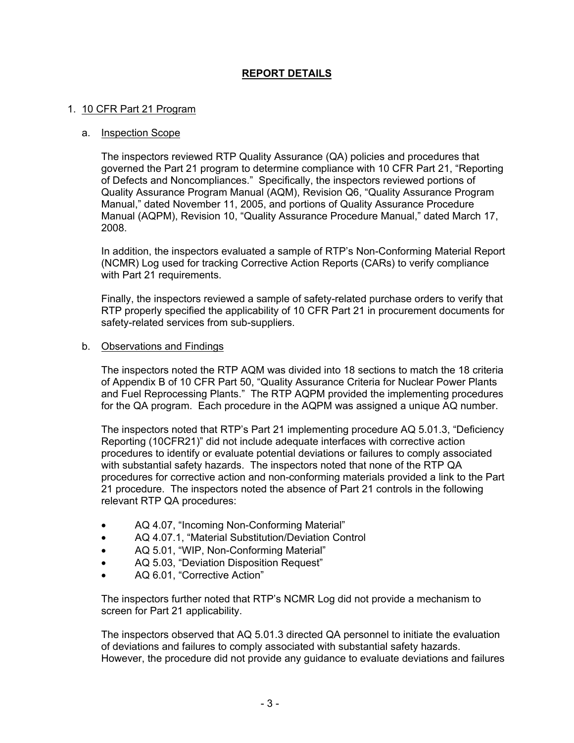# **REPORT DETAILS**

#### 1. 10 CFR Part 21 Program

#### a. Inspection Scope

The inspectors reviewed RTP Quality Assurance (QA) policies and procedures that governed the Part 21 program to determine compliance with 10 CFR Part 21, "Reporting of Defects and Noncompliances." Specifically, the inspectors reviewed portions of Quality Assurance Program Manual (AQM), Revision Q6, "Quality Assurance Program Manual," dated November 11, 2005, and portions of Quality Assurance Procedure Manual (AQPM), Revision 10, "Quality Assurance Procedure Manual," dated March 17, 2008.

In addition, the inspectors evaluated a sample of RTP's Non-Conforming Material Report (NCMR) Log used for tracking Corrective Action Reports (CARs) to verify compliance with Part 21 requirements.

Finally, the inspectors reviewed a sample of safety-related purchase orders to verify that RTP properly specified the applicability of 10 CFR Part 21 in procurement documents for safety-related services from sub-suppliers.

#### b. Observations and Findings

The inspectors noted the RTP AQM was divided into 18 sections to match the 18 criteria of Appendix B of 10 CFR Part 50, "Quality Assurance Criteria for Nuclear Power Plants and Fuel Reprocessing Plants." The RTP AQPM provided the implementing procedures for the QA program. Each procedure in the AQPM was assigned a unique AQ number.

The inspectors noted that RTP's Part 21 implementing procedure AQ 5.01.3, "Deficiency Reporting (10CFR21)" did not include adequate interfaces with corrective action procedures to identify or evaluate potential deviations or failures to comply associated with substantial safety hazards. The inspectors noted that none of the RTP QA procedures for corrective action and non-conforming materials provided a link to the Part 21 procedure. The inspectors noted the absence of Part 21 controls in the following relevant RTP QA procedures:

- AQ 4.07, "Incoming Non-Conforming Material"
- AQ 4.07.1, "Material Substitution/Deviation Control
- AQ 5.01, "WIP, Non-Conforming Material"
- AQ 5.03, "Deviation Disposition Request"
- AQ 6.01, "Corrective Action"

The inspectors further noted that RTP's NCMR Log did not provide a mechanism to screen for Part 21 applicability.

The inspectors observed that AQ 5.01.3 directed QA personnel to initiate the evaluation of deviations and failures to comply associated with substantial safety hazards. However, the procedure did not provide any guidance to evaluate deviations and failures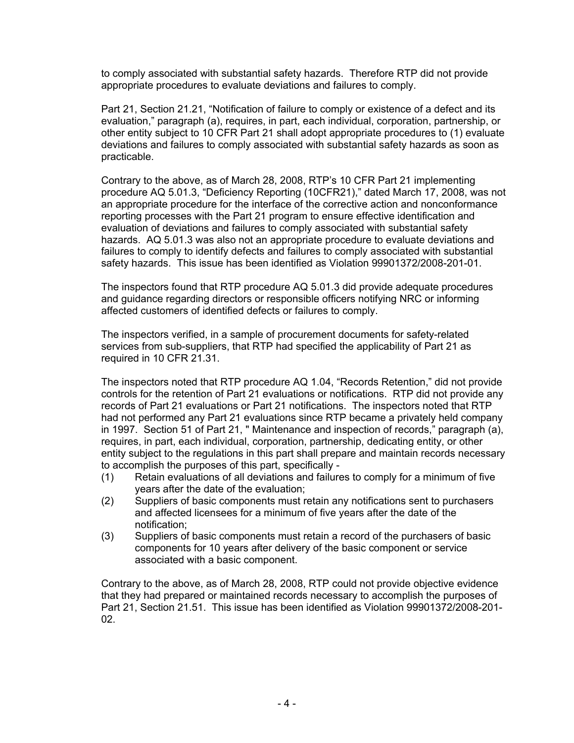to comply associated with substantial safety hazards. Therefore RTP did not provide appropriate procedures to evaluate deviations and failures to comply.

Part 21, Section 21.21, "Notification of failure to comply or existence of a defect and its evaluation," paragraph (a), requires, in part, each individual, corporation, partnership, or other entity subject to 10 CFR Part 21 shall adopt appropriate procedures to (1) evaluate deviations and failures to comply associated with substantial safety hazards as soon as practicable.

Contrary to the above, as of March 28, 2008, RTP's 10 CFR Part 21 implementing procedure AQ 5.01.3, "Deficiency Reporting (10CFR21)," dated March 17, 2008, was not an appropriate procedure for the interface of the corrective action and nonconformance reporting processes with the Part 21 program to ensure effective identification and evaluation of deviations and failures to comply associated with substantial safety hazards. AQ 5.01.3 was also not an appropriate procedure to evaluate deviations and failures to comply to identify defects and failures to comply associated with substantial safety hazards. This issue has been identified as Violation 99901372/2008-201-01.

The inspectors found that RTP procedure AQ 5.01.3 did provide adequate procedures and guidance regarding directors or responsible officers notifying NRC or informing affected customers of identified defects or failures to comply.

The inspectors verified, in a sample of procurement documents for safety-related services from sub-suppliers, that RTP had specified the applicability of Part 21 as required in 10 CFR 21.31.

The inspectors noted that RTP procedure AQ 1.04, "Records Retention," did not provide controls for the retention of Part 21 evaluations or notifications. RTP did not provide any records of Part 21 evaluations or Part 21 notifications. The inspectors noted that RTP had not performed any Part 21 evaluations since RTP became a privately held company in 1997. Section 51 of Part 21, " Maintenance and inspection of records," paragraph (a), requires, in part, each individual, corporation, partnership, dedicating entity, or other entity subject to the regulations in this part shall prepare and maintain records necessary to accomplish the purposes of this part, specifically -

- (1) Retain evaluations of all deviations and failures to comply for a minimum of five years after the date of the evaluation;
- (2) Suppliers of basic components must retain any notifications sent to purchasers and affected licensees for a minimum of five years after the date of the notification;
- (3) Suppliers of basic components must retain a record of the purchasers of basic components for 10 years after delivery of the basic component or service associated with a basic component.

Contrary to the above, as of March 28, 2008, RTP could not provide objective evidence that they had prepared or maintained records necessary to accomplish the purposes of Part 21, Section 21.51. This issue has been identified as Violation 99901372/2008-201- 02.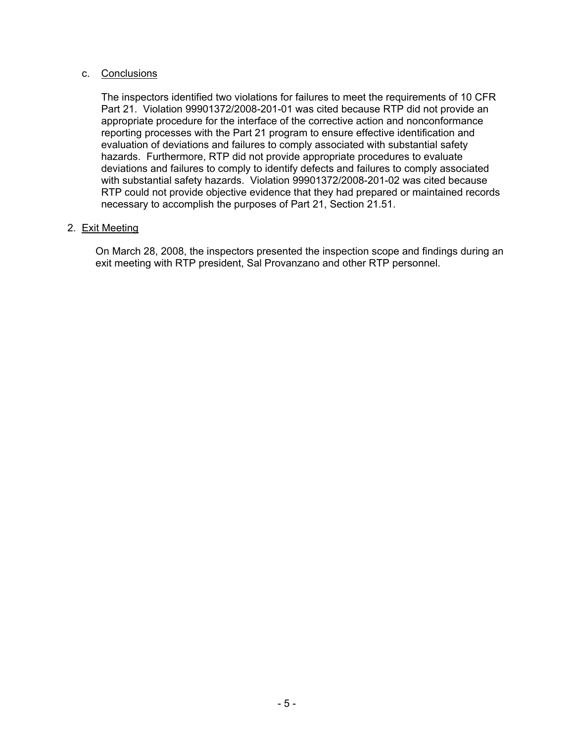### c. Conclusions

The inspectors identified two violations for failures to meet the requirements of 10 CFR Part 21. Violation 99901372/2008-201-01 was cited because RTP did not provide an appropriate procedure for the interface of the corrective action and nonconformance reporting processes with the Part 21 program to ensure effective identification and evaluation of deviations and failures to comply associated with substantial safety hazards. Furthermore, RTP did not provide appropriate procedures to evaluate deviations and failures to comply to identify defects and failures to comply associated with substantial safety hazards. Violation 99901372/2008-201-02 was cited because RTP could not provide objective evidence that they had prepared or maintained records necessary to accomplish the purposes of Part 21, Section 21.51.

## 2. Exit Meeting

On March 28, 2008, the inspectors presented the inspection scope and findings during an exit meeting with RTP president, Sal Provanzano and other RTP personnel.